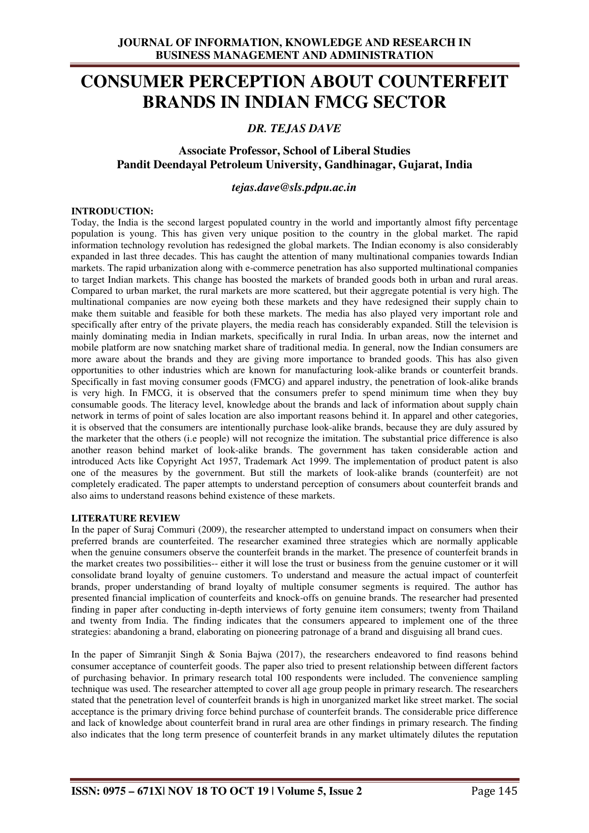# **CONSUMER PERCEPTION ABOUT COUNTERFEIT BRANDS IN INDIAN FMCG SECTOR**

## *DR. TEJAS DAVE*

### **Associate Professor, School of Liberal Studies Pandit Deendayal Petroleum University, Gandhinagar, Gujarat, India**

*tejas.dave@sls.pdpu.ac.in* 

#### **INTRODUCTION:**

Today, the India is the second largest populated country in the world and importantly almost fifty percentage population is young. This has given very unique position to the country in the global market. The rapid information technology revolution has redesigned the global markets. The Indian economy is also considerably expanded in last three decades. This has caught the attention of many multinational companies towards Indian markets. The rapid urbanization along with e-commerce penetration has also supported multinational companies to target Indian markets. This change has boosted the markets of branded goods both in urban and rural areas. Compared to urban market, the rural markets are more scattered, but their aggregate potential is very high. The multinational companies are now eyeing both these markets and they have redesigned their supply chain to make them suitable and feasible for both these markets. The media has also played very important role and specifically after entry of the private players, the media reach has considerably expanded. Still the television is mainly dominating media in Indian markets, specifically in rural India. In urban areas, now the internet and mobile platform are now snatching market share of traditional media. In general, now the Indian consumers are more aware about the brands and they are giving more importance to branded goods. This has also given opportunities to other industries which are known for manufacturing look-alike brands or counterfeit brands. Specifically in fast moving consumer goods (FMCG) and apparel industry, the penetration of look-alike brands is very high. In FMCG, it is observed that the consumers prefer to spend minimum time when they buy consumable goods. The literacy level, knowledge about the brands and lack of information about supply chain network in terms of point of sales location are also important reasons behind it. In apparel and other categories, it is observed that the consumers are intentionally purchase look-alike brands, because they are duly assured by the marketer that the others (i.e people) will not recognize the imitation. The substantial price difference is also another reason behind market of look-alike brands. The government has taken considerable action and introduced Acts like Copyright Act 1957, Trademark Act 1999. The implementation of product patent is also one of the measures by the government. But still the markets of look-alike brands (counterfeit) are not completely eradicated. The paper attempts to understand perception of consumers about counterfeit brands and also aims to understand reasons behind existence of these markets.

#### **LITERATURE REVIEW**

In the paper of Suraj Commuri (2009), the researcher attempted to understand impact on consumers when their preferred brands are counterfeited. The researcher examined three strategies which are normally applicable when the genuine consumers observe the counterfeit brands in the market. The presence of counterfeit brands in the market creates two possibilities-- either it will lose the trust or business from the genuine customer or it will consolidate brand loyalty of genuine customers. To understand and measure the actual impact of counterfeit brands, proper understanding of brand loyalty of multiple consumer segments is required. The author has presented financial implication of counterfeits and knock-offs on genuine brands. The researcher had presented finding in paper after conducting in-depth interviews of forty genuine item consumers; twenty from Thailand and twenty from India. The finding indicates that the consumers appeared to implement one of the three strategies: abandoning a brand, elaborating on pioneering patronage of a brand and disguising all brand cues.

In the paper of Simranjit Singh & Sonia Bajwa (2017), the researchers endeavored to find reasons behind consumer acceptance of counterfeit goods. The paper also tried to present relationship between different factors of purchasing behavior. In primary research total 100 respondents were included. The convenience sampling technique was used. The researcher attempted to cover all age group people in primary research. The researchers stated that the penetration level of counterfeit brands is high in unorganized market like street market. The social acceptance is the primary driving force behind purchase of counterfeit brands. The considerable price difference and lack of knowledge about counterfeit brand in rural area are other findings in primary research. The finding also indicates that the long term presence of counterfeit brands in any market ultimately dilutes the reputation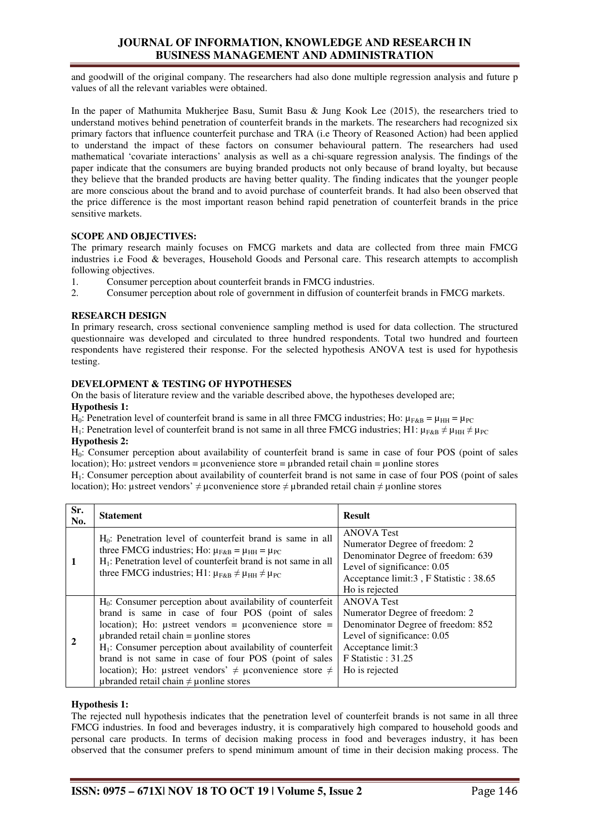## **JOURNAL OF INFORMATION, KNOWLEDGE AND RESEARCH IN BUSINESS MANAGEMENT AND ADMINISTRATION**

and goodwill of the original company. The researchers had also done multiple regression analysis and future p values of all the relevant variables were obtained.

In the paper of Mathumita Mukherjee Basu, Sumit Basu & Jung Kook Lee (2015), the researchers tried to understand motives behind penetration of counterfeit brands in the markets. The researchers had recognized six primary factors that influence counterfeit purchase and TRA (i.e Theory of Reasoned Action) had been applied to understand the impact of these factors on consumer behavioural pattern. The researchers had used mathematical 'covariate interactions' analysis as well as a chi-square regression analysis. The findings of the paper indicate that the consumers are buying branded products not only because of brand loyalty, but because they believe that the branded products are having better quality. The finding indicates that the younger people are more conscious about the brand and to avoid purchase of counterfeit brands. It had also been observed that the price difference is the most important reason behind rapid penetration of counterfeit brands in the price sensitive markets.

#### **SCOPE AND OBJECTIVES:**

The primary research mainly focuses on FMCG markets and data are collected from three main FMCG industries i.e Food & beverages, Household Goods and Personal care. This research attempts to accomplish following objectives.

- 1. Consumer perception about counterfeit brands in FMCG industries.<br>2. Consumer perception about role of government in diffusion of count
- 2. Consumer perception about role of government in diffusion of counterfeit brands in FMCG markets.

#### **RESEARCH DESIGN**

In primary research, cross sectional convenience sampling method is used for data collection. The structured questionnaire was developed and circulated to three hundred respondents. Total two hundred and fourteen respondents have registered their response. For the selected hypothesis ANOVA test is used for hypothesis testing.

#### **DEVELOPMENT & TESTING OF HYPOTHESES**

On the basis of literature review and the variable described above, the hypotheses developed are; **Hypothesis 1:** 

H<sub>0</sub>: Penetration level of counterfeit brand is same in all three FMCG industries; Ho:  $\mu_{F,R} = \mu_{HH} = \mu_{PC}$ 

H<sub>1</sub>: Penetration level of counterfeit brand is not same in all three FMCG industries; H1:  $\mu_{F\&B} \neq \mu_{HH} \neq \mu_{PC}$ 

**Hypothesis 2:** 

H0: Consumer perception about availability of counterfeit brand is same in case of four POS (point of sales location); Ho: ustreet vendors = uconvenience store = ubranded retail chain = uonline stores

H1: Consumer perception about availability of counterfeit brand is not same in case of four POS (point of sales location); Ho: µstreet vendors' ≠ µconvenience store ≠ µbranded retail chain ≠ µonline stores

| Sr.<br>No.     | <b>Statement</b>                                                                                                                                                                                                                                                                                                                                                                                                                                                                              | <b>Result</b>                                                                                                                                                                             |
|----------------|-----------------------------------------------------------------------------------------------------------------------------------------------------------------------------------------------------------------------------------------------------------------------------------------------------------------------------------------------------------------------------------------------------------------------------------------------------------------------------------------------|-------------------------------------------------------------------------------------------------------------------------------------------------------------------------------------------|
|                | $H_0$ : Penetration level of counterfeit brand is same in all<br>three FMCG industries; Ho: $\mu_{F&B} = \mu_{HH} = \mu_{PC}$<br>$H_1$ : Penetration level of counterfeit brand is not same in all<br>three FMCG industries; H1: $\mu_{F&B} \neq \mu_{HH} \neq \mu_{PC}$                                                                                                                                                                                                                      | <b>ANOVA</b> Test<br>Numerator Degree of freedom: 2<br>Denominator Degree of freedom: 639<br>Level of significance: 0.05<br>Acceptance limit:3, F Statistic: 38.65<br>Ho is rejected      |
| $\overline{2}$ | $H_0$ : Consumer perception about availability of counterfeit<br>brand is same in case of four POS (point of sales<br>location); Ho: $\mu$ street vendors = $\mu$ convenience store =<br>$\mu$ branded retail chain = $\mu$ online stores<br>$H1$ : Consumer perception about availability of counterfeit<br>brand is not same in case of four POS (point of sales<br>location); Ho: ustreet vendors' $\neq$ uconvenience store $\neq$<br>$\mu$ branded retail chain $\neq \mu$ online stores | <b>ANOVA</b> Test<br>Numerator Degree of freedom: 2<br>Denominator Degree of freedom: 852<br>Level of significance: 0.05<br>Acceptance limit:3<br>$F$ Statistic : 31.25<br>Ho is rejected |

#### **Hypothesis 1:**

The rejected null hypothesis indicates that the penetration level of counterfeit brands is not same in all three FMCG industries. In food and beverages industry, it is comparatively high compared to household goods and personal care products. In terms of decision making process in food and beverages industry, it has been observed that the consumer prefers to spend minimum amount of time in their decision making process. The